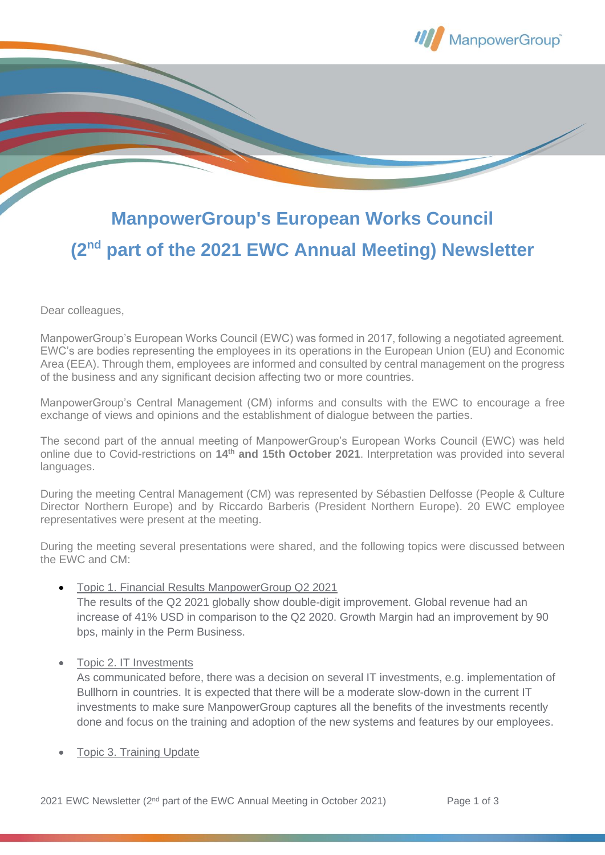

# **ManpowerGroup's European Works Council (2 nd part of the 2021 EWC Annual Meeting) Newsletter**

#### Dear colleagues,

ManpowerGroup's European Works Council (EWC) was formed in 2017, following a negotiated agreement. EWC's are bodies representing the employees in its operations in the European Union (EU) and Economic Area (EEA). Through them, employees are informed and consulted by central management on the progress of the business and any significant decision affecting two or more countries.

ManpowerGroup's Central Management (CM) informs and consults with the EWC to encourage a free exchange of views and opinions and the establishment of dialogue between the parties.

The second part of the annual meeting of ManpowerGroup's European Works Council (EWC) was held online due to Covid-restrictions on **14th and 15th October 2021**. Interpretation was provided into several languages.

During the meeting Central Management (CM) was represented by Sébastien Delfosse (People & Culture Director Northern Europe) and by Riccardo Barberis (President Northern Europe). 20 EWC employee representatives were present at the meeting.

During the meeting several presentations were shared, and the following topics were discussed between the EWC and CM:

- Topic 1. Financial Results ManpowerGroup Q2 2021 The results of the Q2 2021 globally show double-digit improvement. Global revenue had an increase of 41% USD in comparison to the Q2 2020. Growth Margin had an improvement by 90 bps, mainly in the Perm Business.
- Topic 2. IT Investments

As communicated before, there was a decision on several IT investments, e.g. implementation of Bullhorn in countries. It is expected that there will be a moderate slow-down in the current IT investments to make sure ManpowerGroup captures all the benefits of the investments recently done and focus on the training and adoption of the new systems and features by our employees.

• Topic 3. Training Update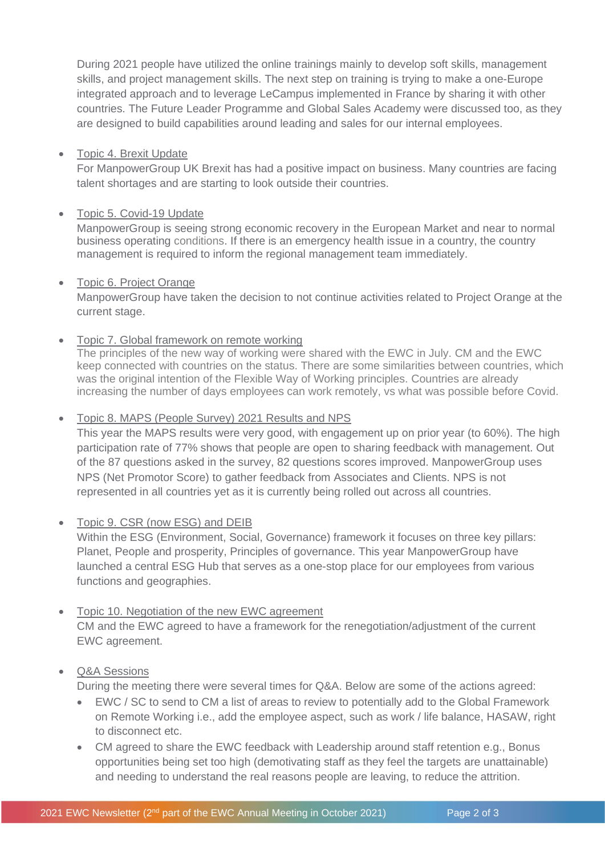During 2021 people have utilized the online trainings mainly to develop soft skills, management skills, and project management skills. The next step on training is trying to make a one-Europe integrated approach and to leverage LeCampus implemented in France by sharing it with other countries. The Future Leader Programme and Global Sales Academy were discussed too, as they are designed to build capabilities around leading and sales for our internal employees.

### • Topic 4. Brexit Update

For ManpowerGroup UK Brexit has had a positive impact on business. Many countries are facing talent shortages and are starting to look outside their countries.

# • Topic 5. Covid-19 Update

ManpowerGroup is seeing strong economic recovery in the European Market and near to normal business operating conditions. If there is an emergency health issue in a country, the country management is required to inform the regional management team immediately.

### • Topic 6. Project Orange

ManpowerGroup have taken the decision to not continue activities related to Project Orange at the current stage.

• Topic 7. Global framework on remote working

The principles of the new way of working were shared with the EWC in July. CM and the EWC keep connected with countries on the status. There are some similarities between countries, which was the original intention of the Flexible Way of Working principles. Countries are already increasing the number of days employees can work remotely, vs what was possible before Covid.

#### • Topic 8. MAPS (People Survey) 2021 Results and NPS

This year the MAPS results were very good, with engagement up on prior year (to 60%). The high participation rate of 77% shows that people are open to sharing feedback with management. Out of the 87 questions asked in the survey, 82 questions scores improved. ManpowerGroup uses NPS (Net Promotor Score) to gather feedback from Associates and Clients. NPS is not represented in all countries yet as it is currently being rolled out across all countries.

#### • Topic 9. CSR (now ESG) and DEIB

Within the ESG (Environment, Social, Governance) framework it focuses on three key pillars: Planet, People and prosperity, Principles of governance. This year ManpowerGroup have launched a central ESG Hub that serves as a one-stop place for our employees from various functions and geographies.

# • Topic 10. Negotiation of the new EWC agreement CM and the EWC agreed to have a framework for the renegotiation/adjustment of the current EWC agreement.

# • Q&A Sessions

During the meeting there were several times for Q&A. Below are some of the actions agreed:

- EWC / SC to send to CM a list of areas to review to potentially add to the Global Framework on Remote Working i.e., add the employee aspect, such as work / life balance, HASAW, right to disconnect etc.
- CM agreed to share the EWC feedback with Leadership around staff retention e.g., Bonus opportunities being set too high (demotivating staff as they feel the targets are unattainable) and needing to understand the real reasons people are leaving, to reduce the attrition.